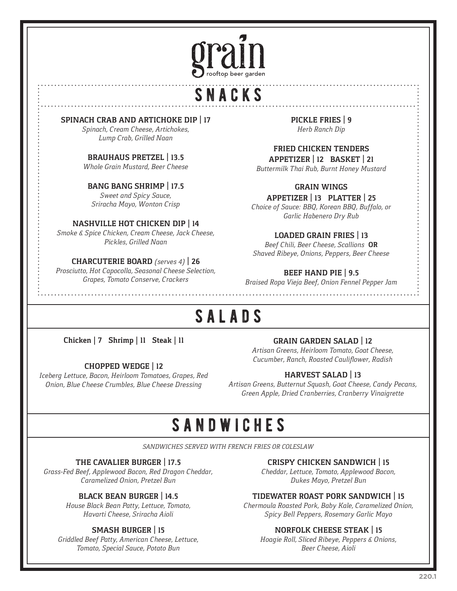

# snacks

**SPINACH CRAB AND ARTICHOKE DIP | 17**

*Spinach, Cream Cheese, Artichokes, Lump Crab, Grilled Naan*

#### **BRAUHAUS PRETZEL | 13.5**

*Whole Grain Mustard, Beer Cheese* 

### **BANG BANG SHRIMP | 17.5**

*Sweet and Spicy Sauce, Sriracha Mayo, Wonton Crisp*

#### **NASHVILLE HOT CHICKEN DIP | 14**

*Smoke & Spice Chicken, Cream Cheese, Jack Cheese, Pickles, Grilled Naan*

#### **CHARCUTERIE BOARD** *(serves 4)* **| 26**

*Prosciutto, Hot Capocolla, Seasonal Cheese Selection, Grapes, Tomato Conserve, Crackers*

*Herb Ranch Dip* 

### **FRIED CHICKEN TENDERS**

**PICKLE FRIES | 9**

**APPETIZER | 12 BASKET | 21** *Buttermilk Thai Rub, Burnt Honey Mustard* 

### **GRAIN WINGS**

**APPETIZER | 13 PLATTER | 25** *Choice of Sauce: BBQ, Korean BBQ, Buffalo, or Garlic Habenero Dry Rub*

### **LOADED GRAIN FRIES | 13**

*Beef Chili, Beer Cheese, Scallions* **OR** *Shaved Ribeye, Onions, Peppers, Beer Cheese*

#### **BEEF HAND PIE | 9.5**

*Braised Ropa Vieja Beef, Onion Fennel Pepper Jam*

# salads

**Chicken | 7 Shrimp | 11 Steak | 11**

#### **CHOPPED WEDGE | 12**

*Iceberg Lettuce, Bacon, Heirloom Tomatoes, Grapes, Red Onion, Blue Cheese Crumbles, Blue Cheese Dressing*

#### **GRAIN GARDEN SALAD | 12**

*Artisan Greens, Heirloom Tomato, Goat Cheese, Cucumber, Ranch, Roasted Cauliflower, Radish*

### **HARVEST SALAD | 13**

*Artisan Greens, Butternut Squash, Goat Cheese, Candy Pecans, Green Apple, Dried Cranberries, Cranberry Vinaigrette*

### sandwiches

*SANDWICHES SERVED WITH FRENCH FRIES OR COLESLAW*

#### **THE CAVALIER BURGER | 17.5**

*Grass-Fed Beef, Applewood Bacon, Red Dragon Cheddar, Caramelized Onion, Pretzel Bun*

#### **BLACK BEAN BURGER | 14.5**

*House Black Bean Patty, Lettuce, Tomato, Havarti Cheese, Sriracha Aioli*

#### **SMASH BURGER | 15**

*Griddled Beef Patty, American Cheese, Lettuce, Tomato, Special Sauce, Potato Bun*

#### **CRISPY CHICKEN SANDWICH | 15**

*Cheddar, Lettuce, Tomato, Applewood Bacon, Dukes Mayo, Pretzel Bun*

#### **TIDEWATER ROAST PORK SANDWICH | 15**

*Chermoula Roasted Pork, Baby Kale, Caramelized Onion, Spicy Bell Peppers, Rosemary Garlic Mayo*

#### **NORFOLK CHEESE STEAK | 15**

*Hoagie Roll, Sliced Ribeye, Peppers & Onions, Beer Cheese, Aioli*